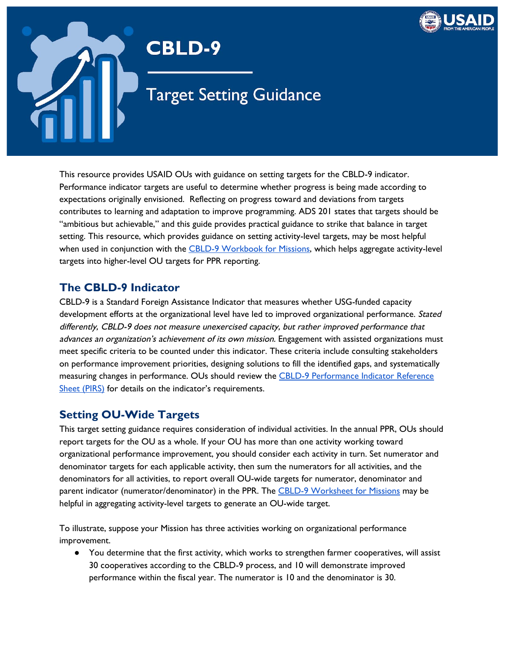

# **CBLD-9**

**Target Setting Guidance** 

 This resource provides USAID OUs with guidance on setting targets for the CBLD-9 indicator. Performance indicator targets are useful to determine whether progress is being made according to expectations originally envisioned. Reflecting on progress toward and deviations from targets contributes to learning and adaptation to improve programming. ADS 201 states that targets should be "ambitious but achievable," and this guide provides practical guidance to strike that balance in target setting. This resource, which provides guidance on setting activity-level targets, may be most helpful when used in conjunction with the <u>CBLD-9 [Workbook](https://docs.google.com/spreadsheets/d/1ZkZNrOya25KDnsjJC0haueizwB7E2sbkyEkiYxLfoTk/edit#gid=996229305) for Missions</u>, which helps aggregate activity-level targets into higher-level OU targets for PPR reporting.

### **The CBLD-9 Indicator**

 CBLD-9 is a Standard Foreign Assistance Indicator that measures whether USG-funded capacity development efforts at the organizational level have led to improved organizational performance. Stated differently, CBLD-9 does not measure unexercised capacity, but rather improved performance that advances an organization's achievement of its own mission. Engagement with assisted organizations must meet specific criteria to be counted under this indicator. These criteria include consulting stakeholders on performance improvement priorities, designing solutions to fill the identified gaps, and systematically measuring changes in performance. OUs should review the <u>CBLD-9 [Performance](https://drive.google.com/file/d/1sj4SHVissZSnfgabvPfXSoHoXIDTzTuy/view?usp=sharing) Indicator Reference</u> Sheet [\(PIRS\)](https://drive.google.com/file/d/1sj4SHVissZSnfgabvPfXSoHoXIDTzTuy/view?usp=sharing) for details on the indicator's requirements.

### **Setting OU-Wide Targets**

 This target setting guidance requires consideration of individual activities. In the annual PPR, OUs should report targets for the OU as a whole. If your OU has more than one activity working toward organizational performance improvement, you should consider each activity in turn. Set numerator and denominator targets for each applicable activity, then sum the numerators for all activities, and the denominators for all activities, to report overall OU-wide targets for numerator, denominator and parent indicator (numerator/denominator) in the PPR. The <u>CBLD-9 [Worksheet](https://docs.google.com/spreadsheets/d/1ZkZNrOya25KDnsjJC0haueizwB7E2sbkyEkiYxLfoTk/edit#gid=996229305) for Missions</u> may be helpful in aggregating activity-level targets to generate an OU-wide target.

 To illustrate, suppose your Mission has three activities working on organizational performance improvement.

 ● You determine that the first activity, which works to strengthen farmer cooperatives, will assist 30 cooperatives according to the CBLD-9 process, and 10 will demonstrate improved performance within the fiscal year. The numerator is 10 and the denominator is 30.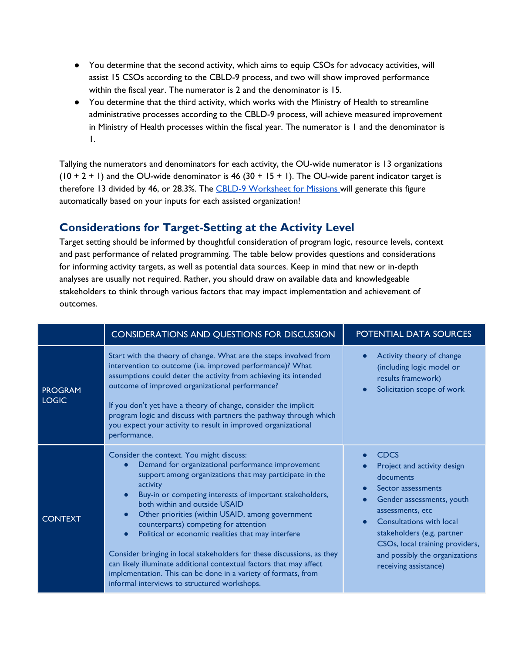- ● You determine that the second activity, which aims to equip CSOs for advocacy activities, will assist 15 CSOs according to the CBLD-9 process, and two will show improved performance within the fiscal year. The numerator is 2 and the denominator is 15.
- ● You determine that the third activity, which works with the Ministry of Health to streamline administrative processes according to the CBLD-9 process, will achieve measured improvement in Ministry of Health processes within the fiscal year. The numerator is 1 and the denominator is 1.

 Tallying the numerators and denominators for each activity, the OU-wide numerator is 13 organizations  $(10 + 2 + 1)$  and the OU-wide denominator is 46  $(30 + 15 + 1)$ . The OU-wide parent indicator target is therefore 13 divided by 46, or 28.3%. The <u>CBLD-9 [Worksheet](https://docs.google.com/spreadsheets/d/1ZkZNrOya25KDnsjJC0haueizwB7E2sbkyEkiYxLfoTk/edit#gid=996229305) for Missions </u>will generate this figure automatically based on your inputs for each assisted organization!

### **Considerations for Target-Setting at the Activity Level**

 Target setting should be informed by thoughtful consideration of program logic, resource levels, context and past performance of related programming. The table below provides questions and considerations for informing activity targets, as well as potential data sources. Keep in mind that new or in-depth analyses are usually not required. Rather, you should draw on available data and knowledgeable stakeholders to think through various factors that may impact implementation and achievement of outcomes.

|                                | <b>CONSIDERATIONS AND QUESTIONS FOR DISCUSSION</b>                                                                                                                                                                                                                                                                                                                                                                                                                                                                                                                                                                                                                                                                                          | POTENTIAL DATA SOURCES                                                                                                                                                                                                                                                                        |
|--------------------------------|---------------------------------------------------------------------------------------------------------------------------------------------------------------------------------------------------------------------------------------------------------------------------------------------------------------------------------------------------------------------------------------------------------------------------------------------------------------------------------------------------------------------------------------------------------------------------------------------------------------------------------------------------------------------------------------------------------------------------------------------|-----------------------------------------------------------------------------------------------------------------------------------------------------------------------------------------------------------------------------------------------------------------------------------------------|
| <b>PROGRAM</b><br><b>LOGIC</b> | Start with the theory of change. What are the steps involved from<br>intervention to outcome (i.e. improved performance)? What<br>assumptions could deter the activity from achieving its intended<br>outcome of improved organizational performance?<br>If you don't yet have a theory of change, consider the implicit<br>program logic and discuss with partners the pathway through which<br>you expect your activity to result in improved organizational<br>performance.                                                                                                                                                                                                                                                              | Activity theory of change<br>(including logic model or<br>results framework)<br>Solicitation scope of work                                                                                                                                                                                    |
| <b>CONTEXT</b>                 | Consider the context. You might discuss:<br>Demand for organizational performance improvement<br>$\bullet$<br>support among organizations that may participate in the<br>activity<br>Buy-in or competing interests of important stakeholders,<br>$\bullet$<br>both within and outside USAID<br>Other priorities (within USAID, among government<br>$\bullet$<br>counterparts) competing for attention<br>Political or economic realities that may interfere<br>$\bullet$<br>Consider bringing in local stakeholders for these discussions, as they<br>can likely illuminate additional contextual factors that may affect<br>implementation. This can be done in a variety of formats, from<br>informal interviews to structured workshops. | <b>CDCS</b><br>Project and activity design<br>documents<br>Sector assessments<br>Gender assessments, youth<br>assessments, etc<br><b>Consultations with local</b><br>stakeholders (e.g. partner<br>CSOs, local training providers,<br>and possibly the organizations<br>receiving assistance) |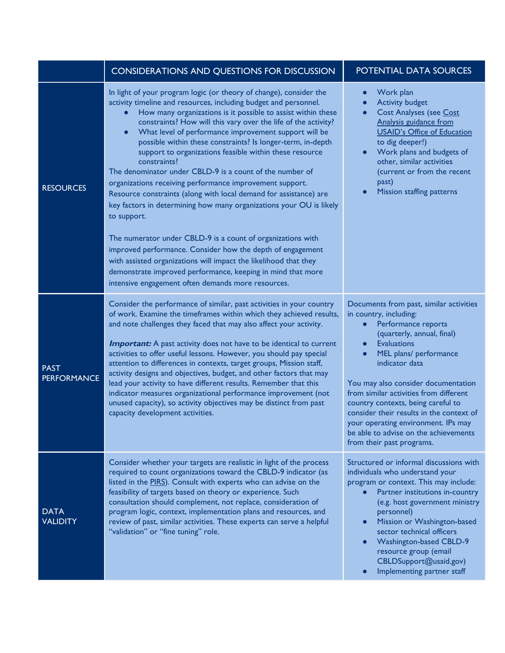|                                   | <b>CONSIDERATIONS AND QUESTIONS FOR DISCUSSION</b>                                                                                                                                                                                                                                                                                                                                                                                                                                                                                                                                                                                                                                                                                                                                                                                                                                                                                                                                                                                                                                                | POTENTIAL DATA SOURCES                                                                                                                                                                                                                                                                                                                                                                                                                                                                |
|-----------------------------------|---------------------------------------------------------------------------------------------------------------------------------------------------------------------------------------------------------------------------------------------------------------------------------------------------------------------------------------------------------------------------------------------------------------------------------------------------------------------------------------------------------------------------------------------------------------------------------------------------------------------------------------------------------------------------------------------------------------------------------------------------------------------------------------------------------------------------------------------------------------------------------------------------------------------------------------------------------------------------------------------------------------------------------------------------------------------------------------------------|---------------------------------------------------------------------------------------------------------------------------------------------------------------------------------------------------------------------------------------------------------------------------------------------------------------------------------------------------------------------------------------------------------------------------------------------------------------------------------------|
| <b>RESOURCES</b>                  | In light of your program logic (or theory of change), consider the<br>activity timeline and resources, including budget and personnel.<br>How many organizations is it possible to assist within these<br>constraints? How will this vary over the life of the activity?<br>What level of performance improvement support will be<br>$\bullet$<br>possible within these constraints? Is longer-term, in-depth<br>support to organizations feasible within these resource<br>constraints?<br>The denominator under CBLD-9 is a count of the number of<br>organizations receiving performance improvement support.<br>Resource constraints (along with local demand for assistance) are<br>key factors in determining how many organizations your OU is likely<br>to support.<br>The numerator under CBLD-9 is a count of organizations with<br>improved performance. Consider how the depth of engagement<br>with assisted organizations will impact the likelihood that they<br>demonstrate improved performance, keeping in mind that more<br>intensive engagement often demands more resources. | Work plan<br>$\bullet$<br><b>Activity budget</b><br><b>Cost Analyses (see Cost</b><br>$\bullet$<br>Analysis guidance from<br><b>USAID's Office of Education</b><br>to dig deeper!)<br>Work plans and budgets of<br>$\bullet$<br>other, similar activities<br>(current or from the recent<br>past)<br>Mission staffing patterns<br>$\bullet$                                                                                                                                           |
| <b>PAST</b><br><b>PERFORMANCE</b> | Consider the performance of similar, past activities in your country<br>of work. Examine the timeframes within which they achieved results,<br>and note challenges they faced that may also affect your activity.<br><b>Important:</b> A past activity does not have to be identical to current<br>activities to offer useful lessons. However, you should pay special<br>attention to differences in contexts, target groups, Mission staff,<br>activity designs and objectives, budget, and other factors that may<br>lead your activity to have different results. Remember that this<br>indicator measures organizational performance improvement (not<br>unused capacity), so activity objectives may be distinct from past<br>capacity development activities.                                                                                                                                                                                                                                                                                                                              | Documents from past, similar activities<br>in country, including:<br>Performance reports<br>$\bullet$<br>(quarterly, annual, final)<br><b>Evaluations</b><br>MEL plans/ performance<br>indicator data<br>You may also consider documentation<br>from similar activities from different<br>country contexts, being careful to<br>consider their results in the context of<br>your operating environment. IPs may<br>be able to advise on the achievements<br>from their past programs. |
| <b>DATA</b><br><b>VALIDITY</b>    | Consider whether your targets are realistic in light of the process<br>required to count organizations toward the CBLD-9 indicator (as<br>listed in the PIRS). Consult with experts who can advise on the<br>feasibility of targets based on theory or experience. Such<br>consultation should complement, not replace, consideration of<br>program logic, context, implementation plans and resources, and<br>review of past, similar activities. These experts can serve a helpful<br>"validation" or "fine tuning" role.                                                                                                                                                                                                                                                                                                                                                                                                                                                                                                                                                                       | Structured or informal discussions with<br>individuals who understand your<br>program or context. This may include:<br>Partner institutions in-country<br>(e.g. host government ministry<br>personnel)<br>Mission or Washington-based<br>$\bullet$<br>sector technical officers<br><b>Washington-based CBLD-9</b><br>$\bullet$<br>resource group (email<br>CBLDSupport@usaid.gov)<br>Implementing partner staff                                                                       |